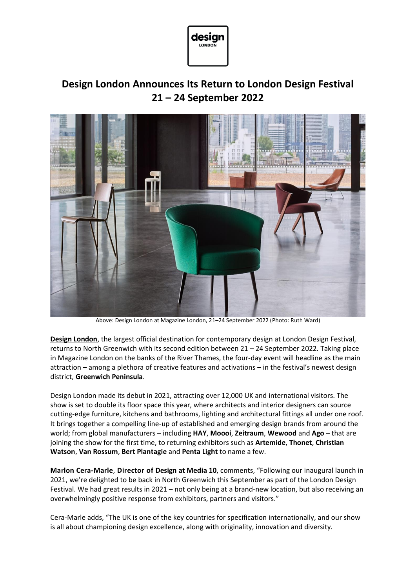

# **Design London Announces Its Return to London Design Festival 21 – 24 September 2022**



Above: Design London at Magazine London, 21–24 September 2022 (Photo: Ruth Ward)

**[Design London](https://www.designlondon.co.uk/)**, the largest official destination for contemporary design at London Design Festival, returns to North Greenwich with its second edition between 21 – 24 September 2022. Taking place in Magazine London on the banks of the River Thames, the four-day event will headline as the main attraction – among a plethora of creative features and activations – in the festival's newest design district, **Greenwich Peninsula**.

Design London made its debut in 2021, attracting over 12,000 UK and international visitors. The show is set to double its floor space this year, where architects and interior designers can source cutting-edge furniture, kitchens and bathrooms, lighting and architectural fittings all under one roof. It brings together a compelling line-up of established and emerging design brands from around the world; from global manufacturers – including **HAY**, **Moooi**, **Zeitraum**, **Wewood** and **Ago** – that are joining the show for the first time, to returning exhibitors such as **Artemide**, **Thonet**, **Christian Watson**, **Van Rossum**, **Bert Plantagie** and **Penta Light** to name a few.

**Marlon Cera-Marle**, **Director of Design at Media 10**, comments, "Following our inaugural launch in 2021, we're delighted to be back in North Greenwich this September as part of the London Design Festival. We had great results in 2021 – not only being at a brand-new location, but also receiving an overwhelmingly positive response from exhibitors, partners and visitors."

Cera-Marle adds, "The UK is one of the key countries for specification internationally, and our show is all about championing design excellence, along with originality, innovation and diversity.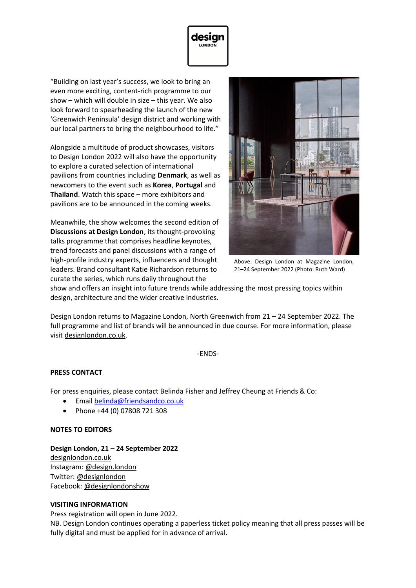

"Building on last year's success, we look to bring an even more exciting, content-rich programme to our show – which will double in size – this year. We also look forward to spearheading the launch of the new 'Greenwich Peninsula' design district and working with our local partners to bring the neighbourhood to life."

Alongside a multitude of product showcases, visitors to Design London 2022 will also have the opportunity to explore a curated selection of international pavilions from countries including **Denmark**, as well as newcomers to the event such as **Korea**, **Portugal** and **Thailand**. Watch this space – more exhibitors and pavilions are to be announced in the coming weeks.

Meanwhile, the show welcomes the second edition of **Discussions at Design London**, its thought-provoking talks programme that comprises headline keynotes, trend forecasts and panel discussions with a range of high-profile industry experts, influencers and thought leaders. Brand consultant Katie Richardson returns to curate the series, which runs daily throughout the



Above: Design London at Magazine London, 21–24 September 2022 (Photo: Ruth Ward)

show and offers an insight into future trends while addressing the most pressing topics within design, architecture and the wider creative industries.

Design London returns to Magazine London, North Greenwich from 21 – 24 September 2022. The full programme and list of brands will be announced in due course. For more information, please visit [designlondon.co.uk.](http://www.designlondon.co.uk/)

-ENDS-

# **PRESS CONTACT**

For press enquiries, please contact Belinda Fisher and Jeffrey Cheung at Friends & Co:

- Email [belinda@friendsandco.co.uk](mailto:belinda@friendsandco.co.uk)
- Phone +44 (0) 07808 721 308

#### **NOTES TO EDITORS**

# **Design London, 21 – 24 September 2022**

[designlondon.co.uk](http://www.designlondon.com/) Instagram: [@design.london](http://www.instagram.com/design.london) Twitter: [@designlondon](http://www.twitter.com/designlondon) Facebook: [@designlondonshow](http://www.facebook.com/designlondonshow)

#### **VISITING INFORMATION**

Press registration will open in June 2022.

NB. Design London continues operating a paperless ticket policy meaning that all press passes will be fully digital and must be applied for in advance of arrival.